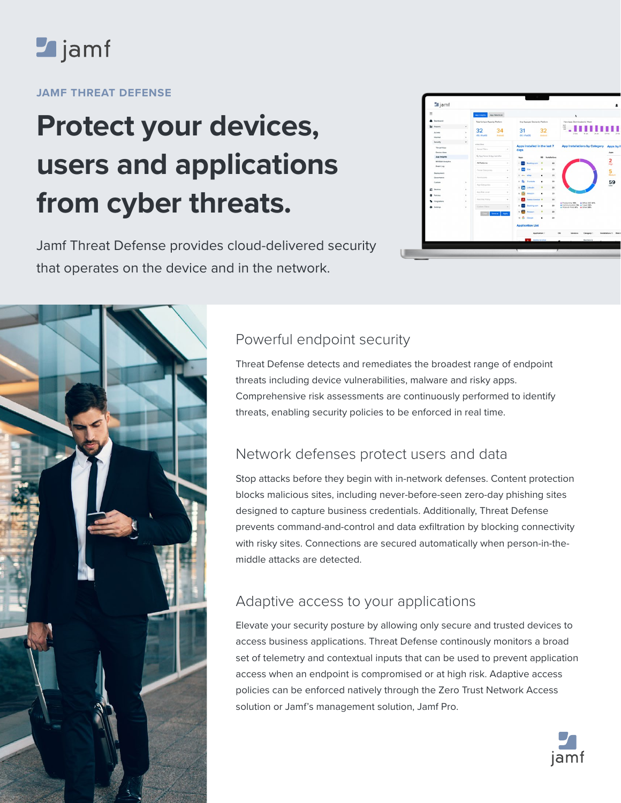

### **JAMF THREAT DEFENSE**

# **Protect your devices, users and applications from cyber threats.**

Jamf Threat Defense provides cloud-delivered security that operates on the device and in the network.

| $\equiv$                            |              | App Insights<br>App WatchList |                         |                                      |                     |                |                  |                                                                  |                                        |
|-------------------------------------|--------------|-------------------------------|-------------------------|--------------------------------------|---------------------|----------------|------------------|------------------------------------------------------------------|----------------------------------------|
| <b>Deshboard</b>                    |              | Total Unique Apps by Platform |                         | Aug Apps per Device by Platform      |                     |                |                  | New Apps Downloaded by Week                                      |                                        |
| M Reports                           |              |                               |                         |                                      |                     |                |                  | wer<br>뻪                                                         |                                        |
| Access                              | $\leq$       | 32                            | 34                      | 31                                   |                     | 32             |                  | 27 Dec                                                           |                                        |
| <b>Internet</b>                     | ×            | <b>IOS / PAIOS</b>            | Andreid                 | <b>OS/PaROS</b>                      |                     | Android        |                  |                                                                  |                                        |
| Security                            |              | within Filters                |                         |                                      |                     |                |                  |                                                                  |                                        |
| Threat View                         |              | Seved Filters                 |                         | Apps installed in the last 7<br>days |                     |                |                  | <b>App Installations by Category</b>                             |                                        |
| Device View                         |              | Q. App Name & App Identifier  |                         |                                      |                     |                |                  |                                                                  |                                        |
| App Insights                        |              |                               |                         | Apps                                 |                     |                | OS Installations |                                                                  |                                        |
| <b>MERIAN Annivirs</b><br>Event Log |              | At Platforms                  | $\sim$                  |                                      | <b>Booking.com</b>  |                | 23               |                                                                  |                                        |
|                                     |              | Threat Cinegodes              | $\scriptstyle\rm v$     |                                      | <b>Box</b>          |                | 22               |                                                                  |                                        |
| Depleyment                          |              |                               |                         | $\lambda$                            | mer eller           | ٠              | 23               |                                                                  |                                        |
| Governance<br>Custom                | $\mathbf{y}$ | Permissions                   | $\sim$                  | $4 - \frac{m}{2}$                    | Translate           | ٠              | 23               |                                                                  |                                        |
|                                     |              | App Categories                | $\sim$                  | s                                    | Unkedin             | ٠              | 23               |                                                                  |                                        |
| <b>Q</b> Devices                    | ×            | App Risk Level                | ٠                       | in                                   |                     |                |                  |                                                                  |                                        |
| <b>Q</b> Policies                   | ٠            |                               |                         | ×.                                   | Amazon              | ٠              | 23               |                                                                  |                                        |
| <b><i><u>A</u></i></b> integrations | ×            | Watchfiet Policy              | ÷.                      |                                      | Adobe Acrobet ®     |                | 22               |                                                                  | Productivity 19% . Office 365 14%      |
| <b>Q</b> Settings                   | ×            | Custom Filters                |                         |                                      | Booking.com         | ٠              | 23               | Communication VIS . Travel 10%<br>* Video & Photo B% * Other 3B% |                                        |
|                                     |              |                               | Sevens Apply            |                                      | Anazon              |                | 23               |                                                                  |                                        |
|                                     |              |                               |                         |                                      | to G doople         | ٠              | 22               |                                                                  |                                        |
|                                     |              |                               | <b>Application List</b> |                                      |                     |                |                  |                                                                  |                                        |
|                                     |              |                               |                         |                                      |                     | Application !! |                  | os<br>Versiens                                                   | Category !!<br>Installations II High L |
|                                     |              |                               |                         |                                      | <b>Note Account</b> |                |                  |                                                                  | Business &                             |
|                                     |              |                               |                         |                                      |                     |                |                  |                                                                  |                                        |



# Powerful endpoint security

Threat Defense detects and remediates the broadest range of endpoint threats including device vulnerabilities, malware and risky apps. Comprehensive risk assessments are continuously performed to identify threats, enabling security policies to be enforced in real time.

## Network defenses protect users and data

Stop attacks before they begin with in-network defenses. Content protection blocks malicious sites, including never-before-seen zero-day phishing sites designed to capture business credentials. Additionally, Threat Defense prevents command-and-control and data exfiltration by blocking connectivity with risky sites. Connections are secured automatically when person-in-themiddle attacks are detected.

## Adaptive access to your applications

Elevate your security posture by allowing only secure and trusted devices to access business applications. Threat Defense continously monitors a broad set of telemetry and contextual inputs that can be used to prevent application access when an endpoint is compromised or at high risk. Adaptive access policies can be enforced natively through the Zero Trust Network Access solution or Jamf's management solution, Jamf Pro.